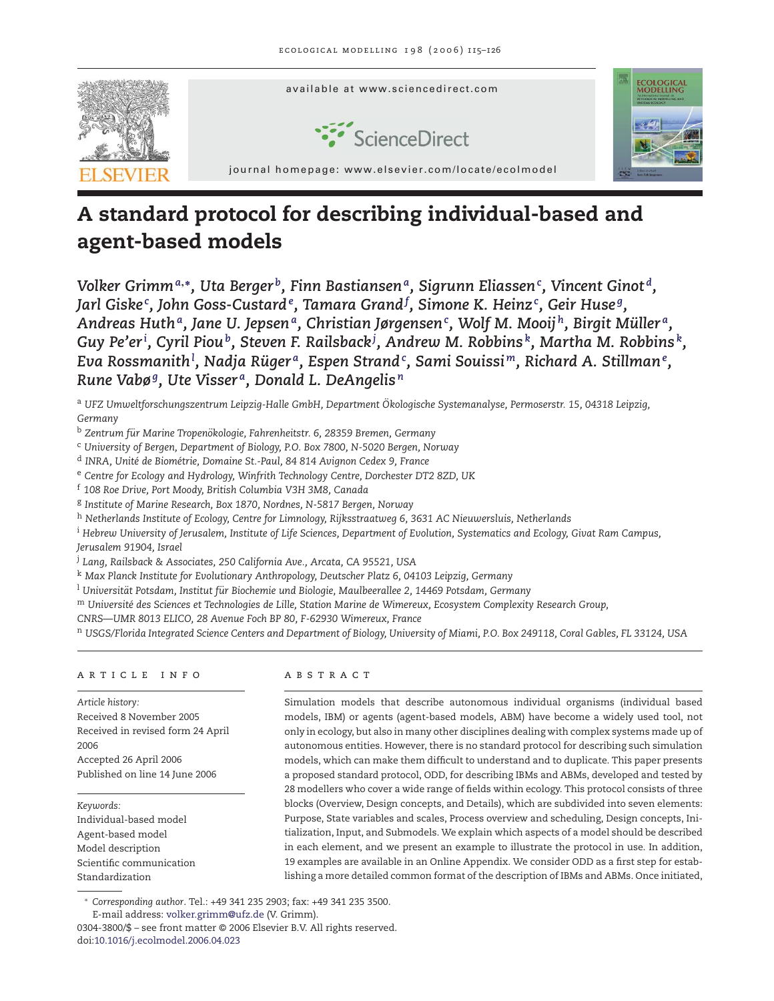

# **A standard protocol for describing individual-based and agent-based models**

*Volker Grimm<sup>a</sup>***,∗***, Uta Berger b, Finn Bastiansena, Sigrunn Eliassenc , Vincent Ginot d, Jarl Giske<sup>c</sup> , John Goss-Custard<sup>e</sup> , Tamara Grand<sup>f</sup> , Simone K. Heinz<sup>c</sup> , Geir Huse g, Andreas Hutha, Jane U. Jepsena, Christian Jørgensenc , Wolf M. Mooij h, Birgit Muller ¨ a, Guy Pe'er <sup>i</sup> , Cyril Pioub, Steven F. Railsbackj , Andrew M. Robbins k, Martha M. Robbins k, Eva Rossmanith<sup>l</sup> , Nadja Ruger ¨ a, Espen Strandc , Sami Souissi m, Richard A. Stillmane , Rune Vabø g, Ute Visser a, Donald L. DeAngelis <sup>n</sup>*

<sup>a</sup> *UFZ Umweltforschungszentrum Leipzig-Halle GmbH, Department Okologische Systemanalyse, Permoserstr. 15, 04318 Leipzig, ¨ Germany*

<sup>b</sup> *Zentrum fur Marine Tropen ¨ okologie, Fahrenheitstr. 6, 28359 Bremen, Germany ¨*

<sup>c</sup> *University of Bergen, Department of Biology, P.O. Box 7800, N-5020 Bergen, Norway*

<sup>d</sup> *INRA, Unite de Biom ´ etrie, Domaine St.-Paul, 84 814 Avignon Cedex 9, France ´*

<sup>e</sup> *Centre for Ecology and Hydrology, Winfrith Technology Centre, Dorchester DT2 8ZD, UK*

<sup>f</sup> *108 Roe Drive, Port Moody, British Columbia V3H 3M8, Canada*

<sup>g</sup> *Institute of Marine Research, Box 1870, Nordnes, N-5817 Bergen, Norway*

<sup>h</sup> *Netherlands Institute of Ecology, Centre for Limnology, Rijksstraatweg 6, 3631 AC Nieuwersluis, Netherlands*

<sup>i</sup> *Hebrew University of Jerusalem, Institute of Life Sciences, Department of Evolution, Systematics and Ecology, Givat Ram Campus,*

*Jerusalem 91904, Israel*

<sup>j</sup> *Lang, Railsback & Associates, 250 California Ave., Arcata, CA 95521, USA*

<sup>k</sup> *Max Planck Institute for Evolutionary Anthropology, Deutscher Platz 6, 04103 Leipzig, Germany*

<sup>1</sup> Universität Potsdam, Institut für Biochemie und Biologie, Maulbeerallee 2, 14469 Potsdam, Germany

<sup>m</sup> *Universite des Sciences et Technologies de Lille, Station Marine de Wimereux, Ecosystem Complexity Research Group, ´*

*CNRS—UMR 8013 ELICO, 28 Avenue Foch BP 80, F-62930 Wimereux, France*

<sup>n</sup> *USGS/Florida Integrated Science Centers and Department of Biology, University of Miami, P.O. Box 249118, Coral Gables, FL 33124, USA*

#### article info

*Article history:* Received 8 November 2005 Received in revised form 24 April 2006 Accepted 26 April 2006 Published on line 14 June 2006

*Keywords:* Individual-based model Agent-based model Model description Scientific communication Standardization

## **ABSTRACT**

Simulation models that describe autonomous individual organisms (individual based models, IBM) or agents (agent-based models, ABM) have become a widely used tool, not only in ecology, but also in many other disciplines dealing with complex systems made up of autonomous entities. However, there is no standard protocol for describing such simulation models, which can make them difficult to understand and to duplicate. This paper presents a proposed standard protocol, ODD, for describing IBMs and ABMs, developed and tested by 28 modellers who cover a wide range of fields within ecology. This protocol consists of three blocks (Overview, Design concepts, and Details), which are subdivided into seven elements: Purpose, State variables and scales, Process overview and scheduling, Design concepts, Initialization, Input, and Submodels. We explain which aspects of a model should be described in each element, and we present an example to illustrate the protocol in use. In addition, 19 examples are available in an Online Appendix. We consider ODD as a first step for establishing a more detailed common format of the description of IBMs and ABMs. Once initiated,

<sup>∗</sup> *Corresponding author*. Tel.: +49 341 235 2903; fax: +49 341 235 3500.

E-mail address: volker.grimm@ufz.de (V. Grimm).

0304-3800/\$ – see front matter © 2006 Elsevier B.V. All rights reserved. doi:10.1016/j.ecolmodel.2006.04.023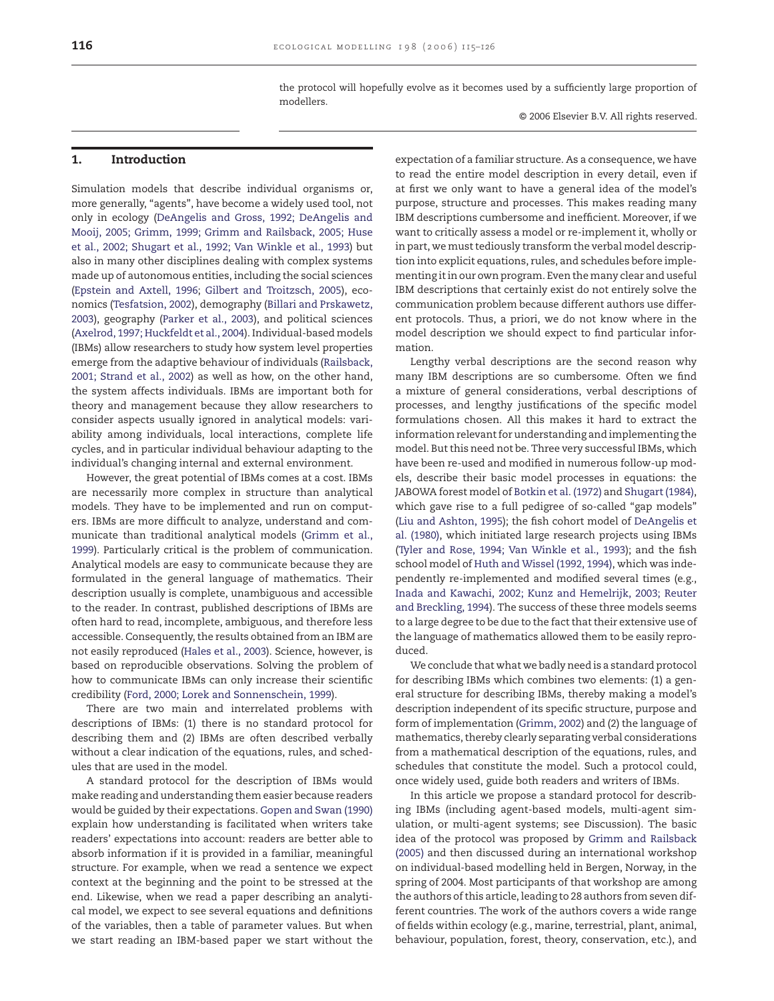the protocol will hopefully evolve as it becomes used by a sufficiently large proportion of modellers.

© 2006 Elsevier B.V. All rights reserved.

## **1. Introduction**

Simulation models that describe individual organisms or, more generally, "agents", have become a widely used tool, not only in ecology (DeAngelis and Gross, 1992; DeAngelis and Mooij, 2005; Grimm, 1999; Grimm and Railsback, 2005; Huse et al., 2002; Shugart et al., 1992; Van Winkle et al., 1993) but also in many other disciplines dealing with complex systems made up of autonomous entities, including the social sciences (Epstein and Axtell, 1996; Gilbert and Troitzsch, 2005), economics (Tesfatsion, 2002), demography (Billari and Prskawetz, 2003), geography (Parker et al., 2003), and political sciences (Axelrod, 1997; Huckfeldt et al., 2004). Individual-based models (IBMs) allow researchers to study how system level properties emerge from the adaptive behaviour of individuals (Railsback, 2001; Strand et al., 2002) as well as how, on the other hand, the system affects individuals. IBMs are important both for theory and management because they allow researchers to consider aspects usually ignored in analytical models: variability among individuals, local interactions, complete life cycles, and in particular individual behaviour adapting to the individual's changing internal and external environment.

However, the great potential of IBMs comes at a cost. IBMs are necessarily more complex in structure than analytical models. They have to be implemented and run on computers. IBMs are more difficult to analyze, understand and communicate than traditional analytical models (Grimm et al., 1999). Particularly critical is the problem of communication. Analytical models are easy to communicate because they are formulated in the general language of mathematics. Their description usually is complete, unambiguous and accessible to the reader. In contrast, published descriptions of IBMs are often hard to read, incomplete, ambiguous, and therefore less accessible. Consequently, the results obtained from an IBM are not easily reproduced (Hales et al., 2003). Science, however, is based on reproducible observations. Solving the problem of how to communicate IBMs can only increase their scientific credibility (Ford, 2000; Lorek and Sonnenschein, 1999).

There are two main and interrelated problems with descriptions of IBMs: (1) there is no standard protocol for describing them and (2) IBMs are often described verbally without a clear indication of the equations, rules, and schedules that are used in the model.

A standard protocol for the description of IBMs would make reading and understanding them easier because readers would be guided by their expectations. Gopen and Swan (1990) explain how understanding is facilitated when writers take readers' expectations into account: readers are better able to absorb information if it is provided in a familiar, meaningful structure. For example, when we read a sentence we expect context at the beginning and the point to be stressed at the end. Likewise, when we read a paper describing an analytical model, we expect to see several equations and definitions of the variables, then a table of parameter values. But when we start reading an IBM-based paper we start without the expectation of a familiar structure. As a consequence, we have to read the entire model description in every detail, even if at first we only want to have a general idea of the model's purpose, structure and processes. This makes reading many IBM descriptions cumbersome and inefficient. Moreover, if we want to critically assess a model or re-implement it, wholly or in part, we must tediously transform the verbal model description into explicit equations, rules, and schedules before implementing it in our own program. Even the many clear and useful IBM descriptions that certainly exist do not entirely solve the communication problem because different authors use different protocols. Thus, a priori, we do not know where in the model description we should expect to find particular information.

Lengthy verbal descriptions are the second reason why many IBM descriptions are so cumbersome. Often we find a mixture of general considerations, verbal descriptions of processes, and lengthy justifications of the specific model formulations chosen. All this makes it hard to extract the information relevant for understanding and implementing the model. But this need not be. Three very successful IBMs, which have been re-used and modified in numerous follow-up models, describe their basic model processes in equations: the JABOWA forest model of Botkin et al. (1972) and Shugart (1984), which gave rise to a full pedigree of so-called "gap models" (Liu and Ashton, 1995); the fish cohort model of DeAngelis et al. (1980), which initiated large research projects using IBMs (Tyler and Rose, 1994; Van Winkle et al., 1993); and the fish school model of Huth and Wissel (1992, 1994), which was independently re-implemented and modified several times (e.g., Inada and Kawachi, 2002; Kunz and Hemelrijk, 2003; Reuter and Breckling, 1994). The success of these three models seems to a large degree to be due to the fact that their extensive use of the language of mathematics allowed them to be easily reproduced.

We conclude that what we badly need is a standard protocol for describing IBMs which combines two elements: (1) a general structure for describing IBMs, thereby making a model's description independent of its specific structure, purpose and form of implementation (Grimm, 2002) and (2) the language of mathematics, thereby clearly separating verbal considerations from a mathematical description of the equations, rules, and schedules that constitute the model. Such a protocol could, once widely used, guide both readers and writers of IBMs.

In this article we propose a standard protocol for describing IBMs (including agent-based models, multi-agent simulation, or multi-agent systems; see Discussion). The basic idea of the protocol was proposed by Grimm and Railsback (2005) and then discussed during an international workshop on individual-based modelling held in Bergen, Norway, in the spring of 2004. Most participants of that workshop are among the authors of this article, leading to 28 authors from seven different countries. The work of the authors covers a wide range of fields within ecology (e.g., marine, terrestrial, plant, animal, behaviour, population, forest, theory, conservation, etc.), and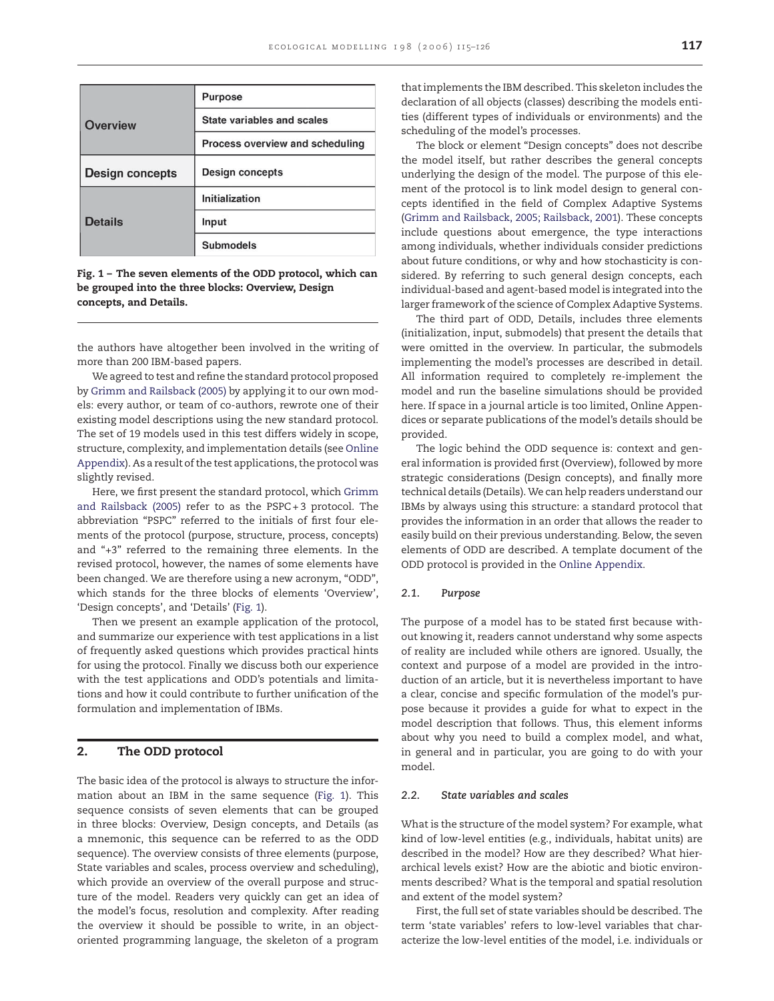| <b>Overview</b> | <b>Purpose</b>                  |
|-----------------|---------------------------------|
|                 | State variables and scales      |
|                 | Process overview and scheduling |
| Design concepts | <b>Design concepts</b>          |
| <b>Details</b>  | Initialization                  |
|                 | Input                           |
|                 | <b>Submodels</b>                |

**Fig. 1 – The seven elements of the ODD protocol, which can be grouped into the three blocks: Overview, Design concepts, and Details.**

the authors have altogether been involved in the writing of more than 200 IBM-based papers.

We agreed to test and refine the standard protocol proposed by Grimm and Railsback (2005) by applying it to our own models: every author, or team of co-authors, rewrote one of their existing model descriptions using the new standard protocol. The set of 19 models used in this test differs widely in scope, structure, complexity, and implementation details (see Online Appendix). As a result of the test applications, the protocol was slightly revised.

Here, we first present the standard protocol, which Grimm and Railsback (2005) refer to as the PSPC + 3 protocol. The abbreviation "PSPC" referred to the initials of first four elements of the protocol (purpose, structure, process, concepts) and "+3" referred to the remaining three elements. In the revised protocol, however, the names of some elements have been changed. We are therefore using a new acronym, "ODD", which stands for the three blocks of elements 'Overview', 'Design concepts', and 'Details' (Fig. 1).

Then we present an example application of the protocol, and summarize our experience with test applications in a list of frequently asked questions which provides practical hints for using the protocol. Finally we discuss both our experience with the test applications and ODD's potentials and limitations and how it could contribute to further unification of the formulation and implementation of IBMs.

# **2. The ODD protocol**

The basic idea of the protocol is always to structure the information about an IBM in the same sequence (Fig. 1). This sequence consists of seven elements that can be grouped in three blocks: Overview, Design concepts, and Details (as a mnemonic, this sequence can be referred to as the ODD sequence). The overview consists of three elements (purpose, State variables and scales, process overview and scheduling), which provide an overview of the overall purpose and structure of the model. Readers very quickly can get an idea of the model's focus, resolution and complexity. After reading the overview it should be possible to write, in an objectoriented programming language, the skeleton of a program that implements the IBM described. This skeleton includes the declaration of all objects (classes) describing the models entities (different types of individuals or environments) and the scheduling of the model's processes.

The block or element "Design concepts" does not describe the model itself, but rather describes the general concepts underlying the design of the model. The purpose of this element of the protocol is to link model design to general concepts identified in the field of Complex Adaptive Systems (Grimm and Railsback, 2005; Railsback, 2001). These concepts include questions about emergence, the type interactions among individuals, whether individuals consider predictions about future conditions, or why and how stochasticity is considered. By referring to such general design concepts, each individual-based and agent-based model is integrated into the larger framework of the science of Complex Adaptive Systems.

The third part of ODD, Details, includes three elements (initialization, input, submodels) that present the details that were omitted in the overview. In particular, the submodels implementing the model's processes are described in detail. All information required to completely re-implement the model and run the baseline simulations should be provided here. If space in a journal article is too limited, Online Appendices or separate publications of the model's details should be provided.

The logic behind the ODD sequence is: context and general information is provided first (Overview), followed by more strategic considerations (Design concepts), and finally more technical details (Details).We can help readers understand our IBMs by always using this structure: a standard protocol that provides the information in an order that allows the reader to easily build on their previous understanding. Below, the seven elements of ODD are described. A template document of the ODD protocol is provided in the Online Appendix.

#### *2.1. Purpose*

The purpose of a model has to be stated first because without knowing it, readers cannot understand why some aspects of reality are included while others are ignored. Usually, the context and purpose of a model are provided in the introduction of an article, but it is nevertheless important to have a clear, concise and specific formulation of the model's purpose because it provides a guide for what to expect in the model description that follows. Thus, this element informs about why you need to build a complex model, and what, in general and in particular, you are going to do with your model.

#### *2.2. State variables and scales*

What is the structure of the model system? For example, what kind of low-level entities (e.g., individuals, habitat units) are described in the model? How are they described? What hierarchical levels exist? How are the abiotic and biotic environments described? What is the temporal and spatial resolution and extent of the model system?

First, the full set of state variables should be described. The term 'state variables' refers to low-level variables that characterize the low-level entities of the model, i.e. individuals or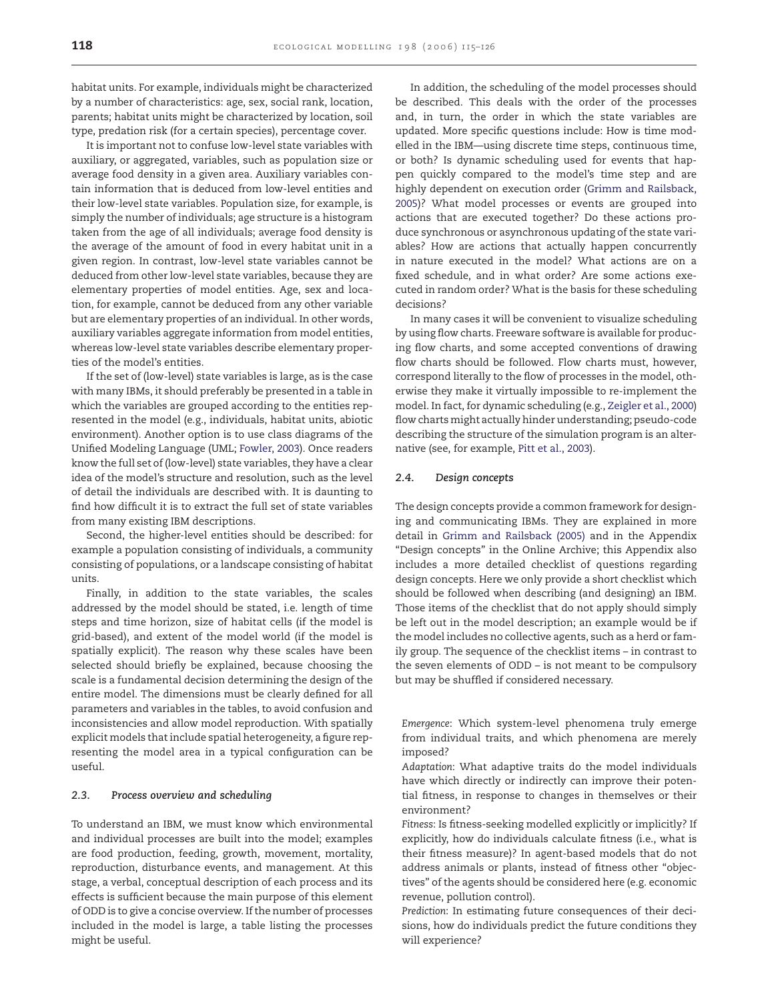habitat units. For example, individuals might be characterized by a number of characteristics: age, sex, social rank, location, parents; habitat units might be characterized by location, soil type, predation risk (for a certain species), percentage cover.

It is important not to confuse low-level state variables with auxiliary, or aggregated, variables, such as population size or average food density in a given area. Auxiliary variables contain information that is deduced from low-level entities and their low-level state variables. Population size, for example, is simply the number of individuals; age structure is a histogram taken from the age of all individuals; average food density is the average of the amount of food in every habitat unit in a given region. In contrast, low-level state variables cannot be deduced from other low-level state variables, because they are elementary properties of model entities. Age, sex and location, for example, cannot be deduced from any other variable but are elementary properties of an individual. In other words, auxiliary variables aggregate information from model entities, whereas low-level state variables describe elementary properties of the model's entities.

If the set of (low-level) state variables is large, as is the case with many IBMs, it should preferably be presented in a table in which the variables are grouped according to the entities represented in the model (e.g., individuals, habitat units, abiotic environment). Another option is to use class diagrams of the Unified Modeling Language (UML; Fowler, 2003). Once readers know the full set of (low-level) state variables, they have a clear idea of the model's structure and resolution, such as the level of detail the individuals are described with. It is daunting to find how difficult it is to extract the full set of state variables from many existing IBM descriptions.

Second, the higher-level entities should be described: for example a population consisting of individuals, a community consisting of populations, or a landscape consisting of habitat units.

Finally, in addition to the state variables, the scales addressed by the model should be stated, i.e. length of time steps and time horizon, size of habitat cells (if the model is grid-based), and extent of the model world (if the model is spatially explicit). The reason why these scales have been selected should briefly be explained, because choosing the scale is a fundamental decision determining the design of the entire model. The dimensions must be clearly defined for all parameters and variables in the tables, to avoid confusion and inconsistencies and allow model reproduction. With spatially explicit models that include spatial heterogeneity, a figure representing the model area in a typical configuration can be useful.

#### *2.3. Process overview and scheduling*

To understand an IBM, we must know which environmental and individual processes are built into the model; examples are food production, feeding, growth, movement, mortality, reproduction, disturbance events, and management. At this stage, a verbal, conceptual description of each process and its effects is sufficient because the main purpose of this element of ODD is to give a concise overview. If the number of processes included in the model is large, a table listing the processes might be useful.

In addition, the scheduling of the model processes should be described. This deals with the order of the processes and, in turn, the order in which the state variables are updated. More specific questions include: How is time modelled in the IBM—using discrete time steps, continuous time, or both? Is dynamic scheduling used for events that happen quickly compared to the model's time step and are highly dependent on execution order (Grimm and Railsback, 2005)? What model processes or events are grouped into actions that are executed together? Do these actions produce synchronous or asynchronous updating of the state variables? How are actions that actually happen concurrently in nature executed in the model? What actions are on a fixed schedule, and in what order? Are some actions executed in random order? What is the basis for these scheduling decisions?

In many cases it will be convenient to visualize scheduling by using flow charts. Freeware software is available for producing flow charts, and some accepted conventions of drawing flow charts should be followed. Flow charts must, however, correspond literally to the flow of processes in the model, otherwise they make it virtually impossible to re-implement the model. In fact, for dynamic scheduling (e.g., Zeigler et al., 2000) flow charts might actually hinder understanding; pseudo-code describing the structure of the simulation program is an alternative (see, for example, Pitt et al., 2003).

#### *2.4. Design concepts*

The design concepts provide a common framework for designing and communicating IBMs. They are explained in more detail in Grimm and Railsback (2005) and in the Appendix "Design concepts" in the Online Archive; this Appendix also includes a more detailed checklist of questions regarding design concepts. Here we only provide a short checklist which should be followed when describing (and designing) an IBM. Those items of the checklist that do not apply should simply be left out in the model description; an example would be if the model includes no collective agents, such as a herd or family group. The sequence of the checklist items – in contrast to the seven elements of ODD – is not meant to be compulsory but may be shuffled if considered necessary.

*Emergence*: Which system-level phenomena truly emerge from individual traits, and which phenomena are merely imposed?

*Adaptation*: What adaptive traits do the model individuals have which directly or indirectly can improve their potential fitness, in response to changes in themselves or their environment?

*Fitness*: Is fitness-seeking modelled explicitly or implicitly? If explicitly, how do individuals calculate fitness (i.e., what is their fitness measure)? In agent-based models that do not address animals or plants, instead of fitness other "objectives" of the agents should be considered here (e.g. economic revenue, pollution control).

*Prediction*: In estimating future consequences of their decisions, how do individuals predict the future conditions they will experience?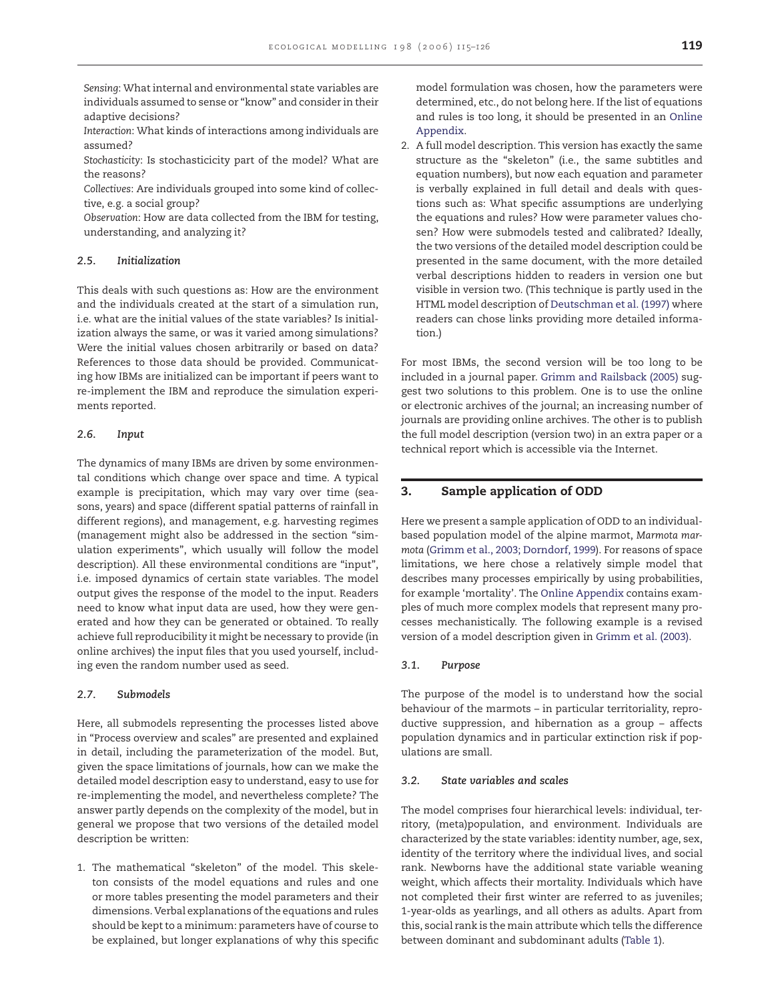*Sensing*: What internal and environmental state variables are individuals assumed to sense or "know" and consider in their adaptive decisions?

*Interaction*: What kinds of interactions among individuals are assumed?

*Stochasticity*: Is stochasticicity part of the model? What are the reasons?

*Collectives*: Are individuals grouped into some kind of collective, e.g. a social group?

*Observation*: How are data collected from the IBM for testing, understanding, and analyzing it?

#### *2.5. Initialization*

This deals with such questions as: How are the environment and the individuals created at the start of a simulation run, i.e. what are the initial values of the state variables? Is initialization always the same, or was it varied among simulations? Were the initial values chosen arbitrarily or based on data? References to those data should be provided. Communicating how IBMs are initialized can be important if peers want to re-implement the IBM and reproduce the simulation experiments reported.

#### *2.6. Input*

The dynamics of many IBMs are driven by some environmental conditions which change over space and time. A typical example is precipitation, which may vary over time (seasons, years) and space (different spatial patterns of rainfall in different regions), and management, e.g. harvesting regimes (management might also be addressed in the section "simulation experiments", which usually will follow the model description). All these environmental conditions are "input", i.e. imposed dynamics of certain state variables. The model output gives the response of the model to the input. Readers need to know what input data are used, how they were generated and how they can be generated or obtained. To really achieve full reproducibility it might be necessary to provide (in online archives) the input files that you used yourself, including even the random number used as seed.

#### *2.7. Submodels*

Here, all submodels representing the processes listed above in "Process overview and scales" are presented and explained in detail, including the parameterization of the model. But, given the space limitations of journals, how can we make the detailed model description easy to understand, easy to use for re-implementing the model, and nevertheless complete? The answer partly depends on the complexity of the model, but in general we propose that two versions of the detailed model description be written:

1. The mathematical "skeleton" of the model. This skeleton consists of the model equations and rules and one or more tables presenting the model parameters and their dimensions. Verbal explanations of the equations and rules should be kept to a minimum: parameters have of course to be explained, but longer explanations of why this specific model formulation was chosen, how the parameters were determined, etc., do not belong here. If the list of equations and rules is too long, it should be presented in an Online Appendix.

2. A full model description. This version has exactly the same structure as the "skeleton" (i.e., the same subtitles and equation numbers), but now each equation and parameter is verbally explained in full detail and deals with questions such as: What specific assumptions are underlying the equations and rules? How were parameter values chosen? How were submodels tested and calibrated? Ideally, the two versions of the detailed model description could be presented in the same document, with the more detailed verbal descriptions hidden to readers in version one but visible in version two. (This technique is partly used in the HTML model description of Deutschman et al. (1997) where readers can chose links providing more detailed information.)

For most IBMs, the second version will be too long to be included in a journal paper. Grimm and Railsback (2005) suggest two solutions to this problem. One is to use the online or electronic archives of the journal; an increasing number of journals are providing online archives. The other is to publish the full model description (version two) in an extra paper or a technical report which is accessible via the Internet.

## **3. Sample application of ODD**

Here we present a sample application of ODD to an individualbased population model of the alpine marmot, *Marmota marmota* (Grimm et al., 2003; Dorndorf, 1999). For reasons of space limitations, we here chose a relatively simple model that describes many processes empirically by using probabilities, for example 'mortality'. The Online Appendix contains examples of much more complex models that represent many processes mechanistically. The following example is a revised version of a model description given in Grimm et al. (2003).

#### *3.1. Purpose*

The purpose of the model is to understand how the social behaviour of the marmots – in particular territoriality, reproductive suppression, and hibernation as a group – affects population dynamics and in particular extinction risk if populations are small.

## *3.2. State variables and scales*

The model comprises four hierarchical levels: individual, territory, (meta)population, and environment. Individuals are characterized by the state variables: identity number, age, sex, identity of the territory where the individual lives, and social rank. Newborns have the additional state variable weaning weight, which affects their mortality. Individuals which have not completed their first winter are referred to as juveniles; 1-year-olds as yearlings, and all others as adults. Apart from this, social rank is the main attribute which tells the difference between dominant and subdominant adults (Table 1).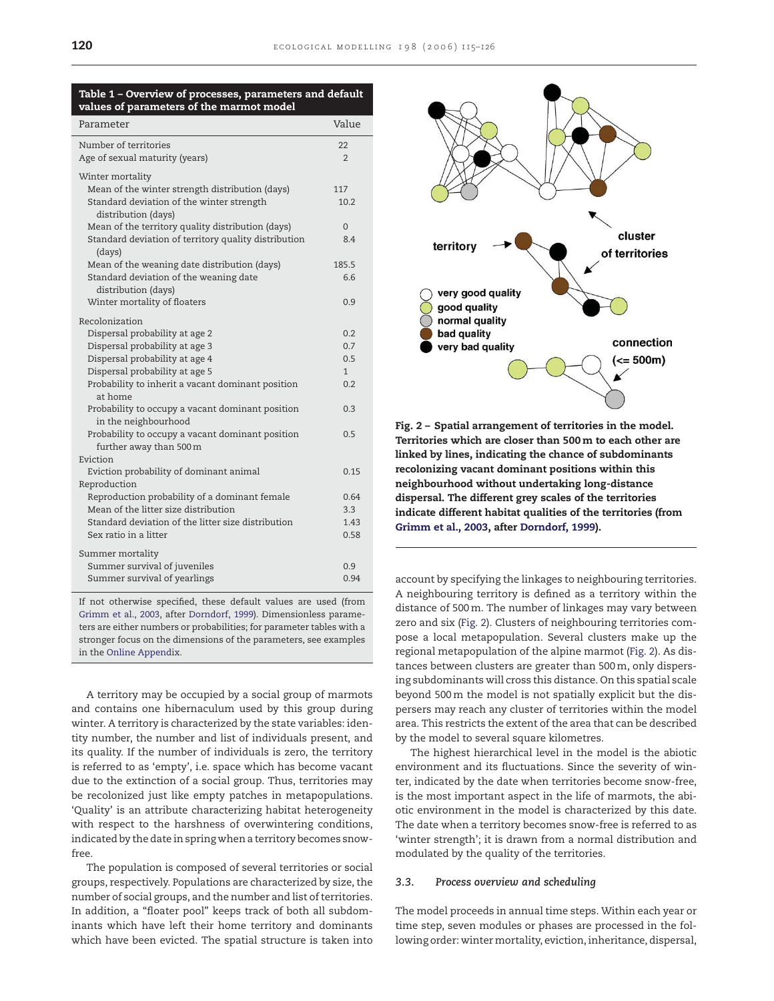#### **Table 1 – Overview of processes, parameters and default values of parameters of the marmot model**

| Parameter                                                                   | Value          |
|-----------------------------------------------------------------------------|----------------|
| Number of territories                                                       | 22             |
| Age of sexual maturity (years)                                              | $\overline{2}$ |
| Winter mortality                                                            |                |
| Mean of the winter strength distribution (days)                             | 117            |
| Standard deviation of the winter strength<br>distribution (days)            | 10.2           |
| Mean of the territory quality distribution (days)                           | 0              |
| Standard deviation of territory quality distribution<br>(days)              | 8.4            |
| Mean of the weaning date distribution (days)                                | 185.5          |
| Standard deviation of the weaning date<br>distribution (days)               | 6.6            |
| Winter mortality of floaters                                                | 0.9            |
| Recolonization                                                              |                |
| Dispersal probability at age 2                                              | 0.2            |
| Dispersal probability at age 3                                              | 0.7            |
| Dispersal probability at age 4                                              | 0.5            |
| Dispersal probability at age 5                                              | $\mathbf{1}$   |
| Probability to inherit a vacant dominant position<br>at home                | 0.2            |
| Probability to occupy a vacant dominant position<br>in the neighbourhood    | 0.3            |
| Probability to occupy a vacant dominant position<br>further away than 500 m | 0.5            |
| Eviction                                                                    |                |
| Eviction probability of dominant animal                                     | 0.15           |
| Reproduction                                                                |                |
| Reproduction probability of a dominant female                               | 0.64           |
| Mean of the litter size distribution                                        | 3.3            |
| Standard deviation of the litter size distribution                          | 1.43           |
| Sex ratio in a litter                                                       | 0.58           |
| Summer mortality                                                            |                |
| Summer survival of juveniles                                                | 0.9            |
| Summer survival of yearlings                                                | 0.94           |
|                                                                             |                |

If not otherwise specified, these default values are used (from Grimm et al., 2003, after Dorndorf, 1999). Dimensionless parameters are either numbers or probabilities; for parameter tables with a stronger focus on the dimensions of the parameters, see examples in the Online Appendix.

A territory may be occupied by a social group of marmots and contains one hibernaculum used by this group during winter. A territory is characterized by the state variables: identity number, the number and list of individuals present, and its quality. If the number of individuals is zero, the territory is referred to as 'empty', i.e. space which has become vacant due to the extinction of a social group. Thus, territories may be recolonized just like empty patches in metapopulations. 'Quality' is an attribute characterizing habitat heterogeneity with respect to the harshness of overwintering conditions, indicated by the date in spring when a territory becomes snowfree.

The population is composed of several territories or social groups, respectively. Populations are characterized by size, the number of social groups, and the number and list of territories. In addition, a "floater pool" keeps track of both all subdominants which have left their home territory and dominants which have been evicted. The spatial structure is taken into



**Fig. 2 – Spatial arrangement of territories in the model. Territories which are closer than 500m to each other are linked by lines, indicating the chance of subdominants recolonizing vacant dominant positions within this neighbourhood without undertaking long-distance dispersal. The different grey scales of the territories indicate different habitat qualities of the territories (from Grimm et al., 2003, after Dorndorf, 1999).**

account by specifying the linkages to neighbouring territories. A neighbouring territory is defined as a territory within the distance of 500 m. The number of linkages may vary between zero and six (Fig. 2). Clusters of neighbouring territories compose a local metapopulation. Several clusters make up the regional metapopulation of the alpine marmot (Fig. 2). As distances between clusters are greater than 500 m, only dispersing subdominants will cross this distance. On this spatial scale beyond 500 m the model is not spatially explicit but the dispersers may reach any cluster of territories within the model area. This restricts the extent of the area that can be described by the model to several square kilometres.

The highest hierarchical level in the model is the abiotic environment and its fluctuations. Since the severity of winter, indicated by the date when territories become snow-free, is the most important aspect in the life of marmots, the abiotic environment in the model is characterized by this date. The date when a territory becomes snow-free is referred to as 'winter strength'; it is drawn from a normal distribution and modulated by the quality of the territories.

#### *3.3. Process overview and scheduling*

The model proceeds in annual time steps. Within each year or time step, seven modules or phases are processed in the following order: winter mortality, eviction, inheritance, dispersal,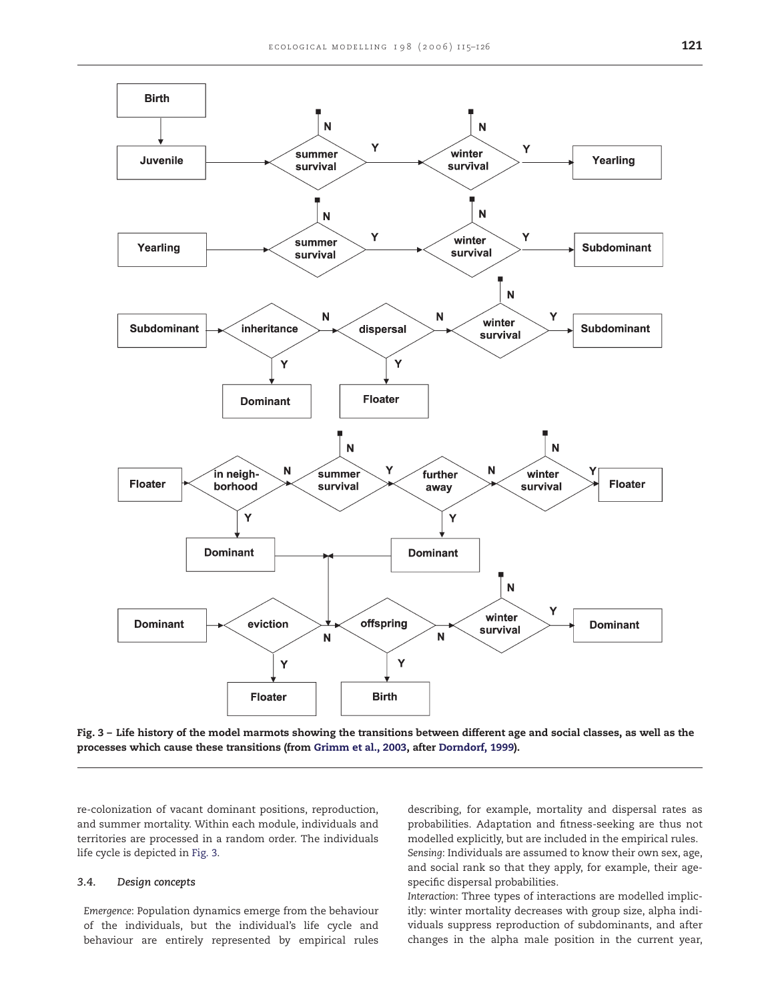

**Fig. 3 – Life history of the model marmots showing the transitions between different age and social classes, as well as the processes which cause these transitions (from Grimm et al., 2003, after Dorndorf, 1999).**

re-colonization of vacant dominant positions, reproduction, and summer mortality. Within each module, individuals and territories are processed in a random order. The individuals life cycle is depicted in Fig. 3.

## *3.4. Design concepts*

*Emergence*: Population dynamics emerge from the behaviour of the individuals, but the individual's life cycle and behaviour are entirely represented by empirical rules describing, for example, mortality and dispersal rates as probabilities. Adaptation and fitness-seeking are thus not modelled explicitly, but are included in the empirical rules. *Sensing*: Individuals are assumed to know their own sex, age, and social rank so that they apply, for example, their agespecific dispersal probabilities.

*Interaction*: Three types of interactions are modelled implicitly: winter mortality decreases with group size, alpha individuals suppress reproduction of subdominants, and after changes in the alpha male position in the current year,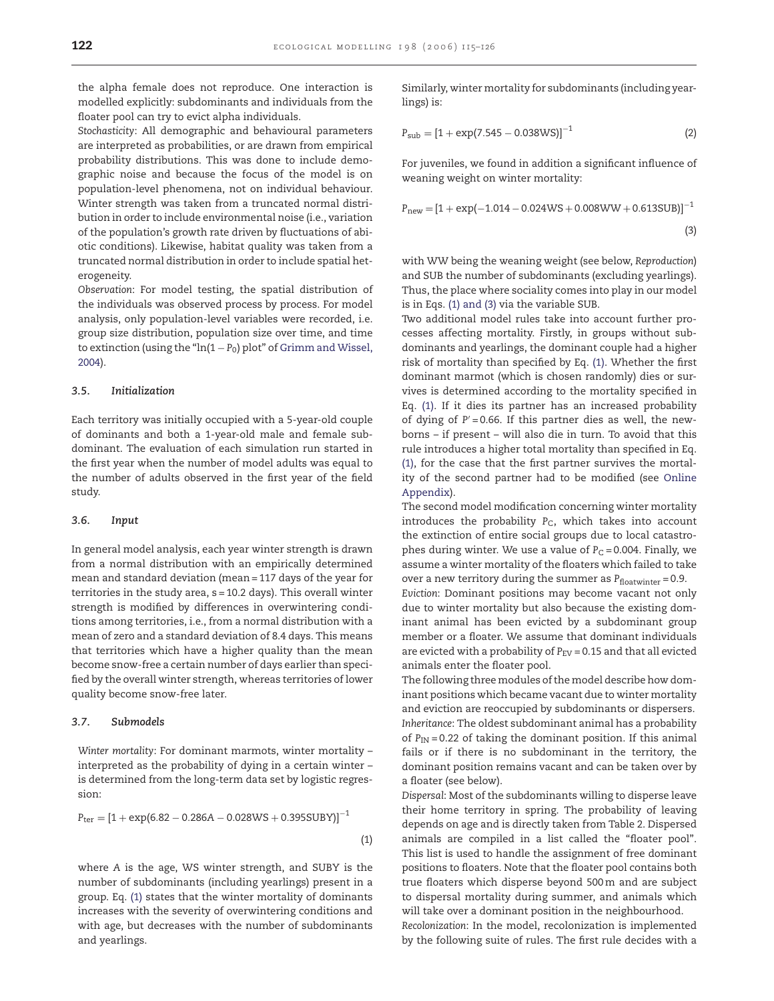the alpha female does not reproduce. One interaction is modelled explicitly: subdominants and individuals from the floater pool can try to evict alpha individuals.

*Stochasticity*: All demographic and behavioural parameters are interpreted as probabilities, or are drawn from empirical probability distributions. This was done to include demographic noise and because the focus of the model is on population-level phenomena, not on individual behaviour. Winter strength was taken from a truncated normal distribution in order to include environmental noise (i.e., variation of the population's growth rate driven by fluctuations of abiotic conditions). Likewise, habitat quality was taken from a truncated normal distribution in order to include spatial heterogeneity.

*Observation*: For model testing, the spatial distribution of the individuals was observed process by process. For model analysis, only population-level variables were recorded, i.e. group size distribution, population size over time, and time to extinction (using the "ln(1 − *P*0) plot" of Grimm and Wissel, 2004).

## *3.5. Initialization*

Each territory was initially occupied with a 5-year-old couple of dominants and both a 1-year-old male and female subdominant. The evaluation of each simulation run started in the first year when the number of model adults was equal to the number of adults observed in the first year of the field study.

#### *3.6. Input*

In general model analysis, each year winter strength is drawn from a normal distribution with an empirically determined mean and standard deviation (mean = 117 days of the year for territories in the study area, s = 10.2 days). This overall winter strength is modified by differences in overwintering conditions among territories, i.e., from a normal distribution with a mean of zero and a standard deviation of 8.4 days. This means that territories which have a higher quality than the mean become snow-free a certain number of days earlier than specified by the overall winter strength, whereas territories of lower quality become snow-free later.

#### *3.7. Submodels*

*Winter mortality*: For dominant marmots, winter mortality – interpreted as the probability of dying in a certain winter – is determined from the long-term data set by logistic regression:

$$
P_{\text{ter}} = [1 + \exp(6.82 - 0.286A - 0.028WS + 0.395SUBY)]^{-1}
$$
\n(1)

where *A* is the age, WS winter strength, and SUBY is the number of subdominants (including yearlings) present in a group. Eq. (1) states that the winter mortality of dominants increases with the severity of overwintering conditions and with age, but decreases with the number of subdominants and yearlings.

Similarly, winter mortality for subdominants (including yearlings) is:

$$
P_{\text{sub}} = [1 + \exp(7.545 - 0.038WS)]^{-1}
$$
 (2)

For juveniles, we found in addition a significant influence of weaning weight on winter mortality:

$$
P_{\text{new}} = [1 + \exp(-1.014 - 0.024\text{WS} + 0.008\text{WW} + 0.613\text{SUB})]^{-1}
$$
\n(3)

with WW being the weaning weight (see below, *Reproduction*) and SUB the number of subdominants (excluding yearlings). Thus, the place where sociality comes into play in our model is in Eqs. (1) and (3) via the variable SUB.

Two additional model rules take into account further processes affecting mortality. Firstly, in groups without subdominants and yearlings, the dominant couple had a higher risk of mortality than specified by Eq. (1). Whether the first dominant marmot (which is chosen randomly) dies or survives is determined according to the mortality specified in Eq. (1). If it dies its partner has an increased probability of dying of  $P' = 0.66$ . If this partner dies as well, the newborns – if present – will also die in turn. To avoid that this rule introduces a higher total mortality than specified in Eq. (1), for the case that the first partner survives the mortality of the second partner had to be modified (see Online Appendix).

The second model modification concerning winter mortality introduces the probability *P<sub>C</sub>*, which takes into account the extinction of entire social groups due to local catastrophes during winter. We use a value of  $P_C = 0.004$ . Finally, we assume a winter mortality of the floaters which failed to take over a new territory during the summer as  $P_{\text{floatwinter}} = 0.9$ .

*Eviction*: Dominant positions may become vacant not only due to winter mortality but also because the existing dominant animal has been evicted by a subdominant group member or a floater. We assume that dominant individuals are evicted with a probability of  $P_{EV}$  = 0.15 and that all evicted animals enter the floater pool.

The following three modules of the model describe how dominant positions which became vacant due to winter mortality and eviction are reoccupied by subdominants or dispersers. *Inheritance*: The oldest subdominant animal has a probability of  $P_{IN} = 0.22$  of taking the dominant position. If this animal fails or if there is no subdominant in the territory, the dominant position remains vacant and can be taken over by a floater (see below).

*Dispersal*: Most of the subdominants willing to disperse leave their home territory in spring. The probability of leaving depends on age and is directly taken from Table 2. Dispersed animals are compiled in a list called the "floater pool". This list is used to handle the assignment of free dominant positions to floaters. Note that the floater pool contains both true floaters which disperse beyond 500 m and are subject to dispersal mortality during summer, and animals which will take over a dominant position in the neighbourhood.

*Recolonization*: In the model, recolonization is implemented by the following suite of rules. The first rule decides with a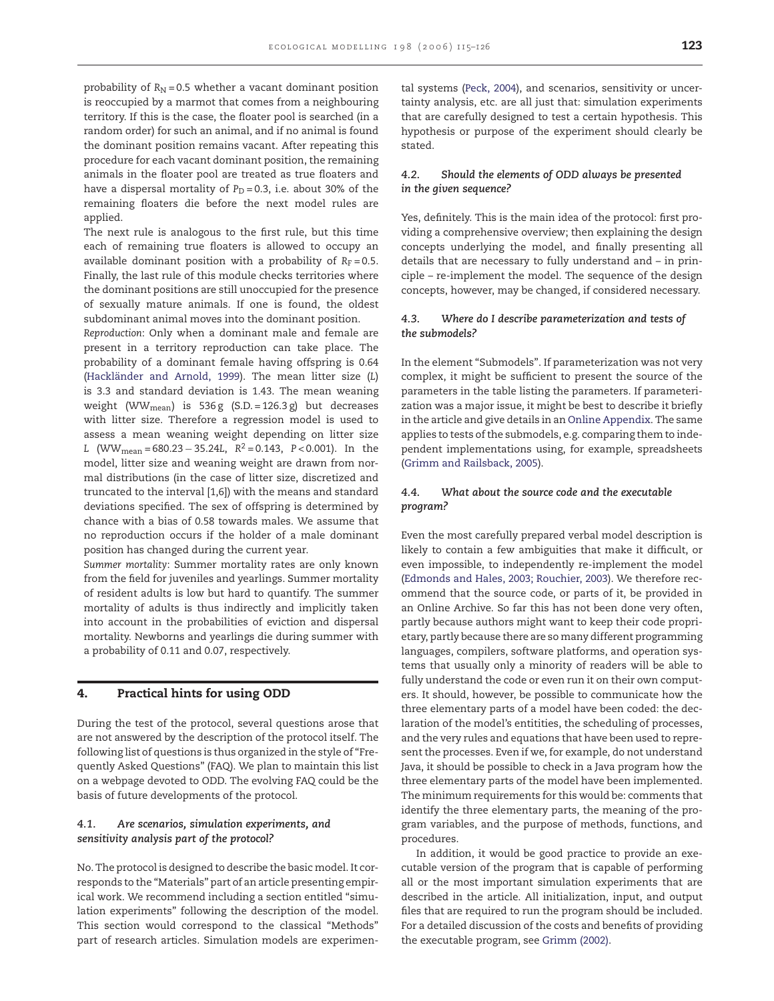probability of  $R_N = 0.5$  whether a vacant dominant position is reoccupied by a marmot that comes from a neighbouring territory. If this is the case, the floater pool is searched (in a random order) for such an animal, and if no animal is found the dominant position remains vacant. After repeating this procedure for each vacant dominant position, the remaining animals in the floater pool are treated as true floaters and have a dispersal mortality of  $P_D = 0.3$ , i.e. about 30% of the remaining floaters die before the next model rules are applied.

The next rule is analogous to the first rule, but this time each of remaining true floaters is allowed to occupy an available dominant position with a probability of  $R_F = 0.5$ . Finally, the last rule of this module checks territories where the dominant positions are still unoccupied for the presence of sexually mature animals. If one is found, the oldest subdominant animal moves into the dominant position.

*Reproduction*: Only when a dominant male and female are present in a territory reproduction can take place. The probability of a dominant female having offspring is 0.64 (Hackländer and Arnold, 1999). The mean litter size (L) is 3.3 and standard deviation is 1.43. The mean weaning weight (WW<sub>mean</sub>) is 536 g (S.D. = 126.3 g) but decreases with litter size. Therefore a regression model is used to assess a mean weaning weight depending on litter size *<sup>L</sup>* (WWmean = 680.23 <sup>−</sup> 35.24*L*, *<sup>R</sup>*<sup>2</sup> = 0.143, *<sup>P</sup>* < 0.001). In the model, litter size and weaning weight are drawn from normal distributions (in the case of litter size, discretized and truncated to the interval [1,6]) with the means and standard deviations specified. The sex of offspring is determined by chance with a bias of 0.58 towards males. We assume that no reproduction occurs if the holder of a male dominant position has changed during the current year.

*Summer mortality*: Summer mortality rates are only known from the field for juveniles and yearlings. Summer mortality of resident adults is low but hard to quantify. The summer mortality of adults is thus indirectly and implicitly taken into account in the probabilities of eviction and dispersal mortality. Newborns and yearlings die during summer with a probability of 0.11 and 0.07, respectively.

## **4. Practical hints for using ODD**

During the test of the protocol, several questions arose that are not answered by the description of the protocol itself. The following list of questions is thus organized in the style of "Frequently Asked Questions" (FAQ). We plan to maintain this list on a webpage devoted to ODD. The evolving FAQ could be the basis of future developments of the protocol.

## *4.1. Are scenarios, simulation experiments, and sensitivity analysis part of the protocol?*

No. The protocol is designed to describe the basic model. It corresponds to the "Materials" part of an article presenting empirical work. We recommend including a section entitled "simulation experiments" following the description of the model. This section would correspond to the classical "Methods" part of research articles. Simulation models are experimental systems (Peck, 2004), and scenarios, sensitivity or uncertainty analysis, etc. are all just that: simulation experiments that are carefully designed to test a certain hypothesis. This hypothesis or purpose of the experiment should clearly be stated.

## *4.2. Should the elements of ODD always be presented in the given sequence?*

Yes, definitely. This is the main idea of the protocol: first providing a comprehensive overview; then explaining the design concepts underlying the model, and finally presenting all details that are necessary to fully understand and – in principle – re-implement the model. The sequence of the design concepts, however, may be changed, if considered necessary.

## *4.3. Where do I describe parameterization and tests of the submodels?*

In the element "Submodels". If parameterization was not very complex, it might be sufficient to present the source of the parameters in the table listing the parameters. If parameterization was a major issue, it might be best to describe it briefly in the article and give details in an Online Appendix. The same applies to tests of the submodels, e.g. comparing them to independent implementations using, for example, spreadsheets (Grimm and Railsback, 2005).

# *4.4. What about the source code and the executable program?*

Even the most carefully prepared verbal model description is likely to contain a few ambiguities that make it difficult, or even impossible, to independently re-implement the model (Edmonds and Hales, 2003; Rouchier, 2003). We therefore recommend that the source code, or parts of it, be provided in an Online Archive. So far this has not been done very often, partly because authors might want to keep their code proprietary, partly because there are so many different programming languages, compilers, software platforms, and operation systems that usually only a minority of readers will be able to fully understand the code or even run it on their own computers. It should, however, be possible to communicate how the three elementary parts of a model have been coded: the declaration of the model's entitities, the scheduling of processes, and the very rules and equations that have been used to represent the processes. Even if we, for example, do not understand Java, it should be possible to check in a Java program how the three elementary parts of the model have been implemented. The minimum requirements for this would be: comments that identify the three elementary parts, the meaning of the program variables, and the purpose of methods, functions, and procedures.

In addition, it would be good practice to provide an executable version of the program that is capable of performing all or the most important simulation experiments that are described in the article. All initialization, input, and output files that are required to run the program should be included. For a detailed discussion of the costs and benefits of providing the executable program, see Grimm (2002).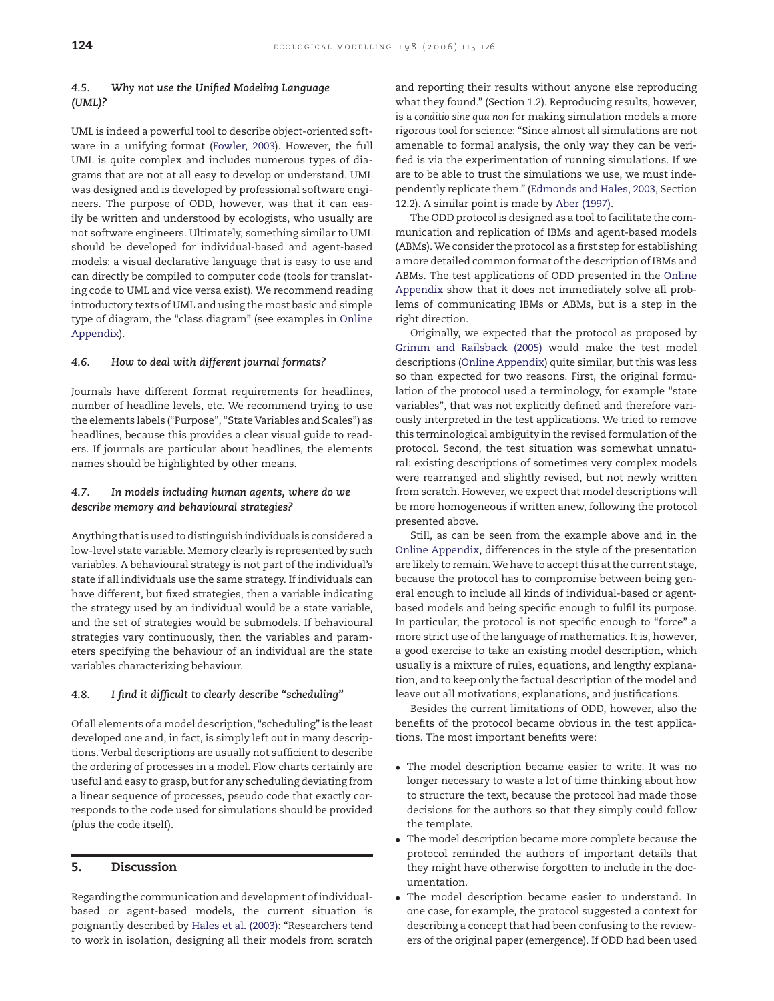## *4.5. Why not use the Unified Modeling Language (UML)?*

UML is indeed a powerful tool to describe object-oriented software in a unifying format (Fowler, 2003). However, the full UML is quite complex and includes numerous types of diagrams that are not at all easy to develop or understand. UML was designed and is developed by professional software engineers. The purpose of ODD, however, was that it can easily be written and understood by ecologists, who usually are not software engineers. Ultimately, something similar to UML should be developed for individual-based and agent-based models: a visual declarative language that is easy to use and can directly be compiled to computer code (tools for translating code to UML and vice versa exist). We recommend reading introductory texts of UML and using the most basic and simple type of diagram, the "class diagram" (see examples in Online Appendix).

## *4.6. How to deal with different journal formats?*

Journals have different format requirements for headlines, number of headline levels, etc. We recommend trying to use the elements labels ("Purpose", "State Variables and Scales") as headlines, because this provides a clear visual guide to readers. If journals are particular about headlines, the elements names should be highlighted by other means.

#### *4.7. In models including human agents, where do we describe memory and behavioural strategies?*

Anything that is used to distinguish individuals is considered a low-level state variable. Memory clearly is represented by such variables. A behavioural strategy is not part of the individual's state if all individuals use the same strategy. If individuals can have different, but fixed strategies, then a variable indicating the strategy used by an individual would be a state variable, and the set of strategies would be submodels. If behavioural strategies vary continuously, then the variables and parameters specifying the behaviour of an individual are the state variables characterizing behaviour.

## *4.8. I find it difficult to clearly describe "scheduling"*

Of all elements of a model description, "scheduling" is the least developed one and, in fact, is simply left out in many descriptions. Verbal descriptions are usually not sufficient to describe the ordering of processes in a model. Flow charts certainly are useful and easy to grasp, but for any scheduling deviating from a linear sequence of processes, pseudo code that exactly corresponds to the code used for simulations should be provided (plus the code itself).

## **5. Discussion**

Regarding the communication and development of individualbased or agent-based models, the current situation is poignantly described by Hales et al. (2003): "Researchers tend to work in isolation, designing all their models from scratch and reporting their results without anyone else reproducing what they found." (Section 1.2). Reproducing results, however, is a *conditio sine qua non* for making simulation models a more rigorous tool for science: "Since almost all simulations are not amenable to formal analysis, the only way they can be verified is via the experimentation of running simulations. If we are to be able to trust the simulations we use, we must independently replicate them." (Edmonds and Hales, 2003, Section 12.2). A similar point is made by Aber (1997).

The ODD protocol is designed as a tool to facilitate the communication and replication of IBMs and agent-based models (ABMs). We consider the protocol as a first step for establishing a more detailed common format of the description of IBMs and ABMs. The test applications of ODD presented in the Online Appendix show that it does not immediately solve all problems of communicating IBMs or ABMs, but is a step in the right direction.

Originally, we expected that the protocol as proposed by Grimm and Railsback (2005) would make the test model descriptions (Online Appendix) quite similar, but this was less so than expected for two reasons. First, the original formulation of the protocol used a terminology, for example "state variables", that was not explicitly defined and therefore variously interpreted in the test applications. We tried to remove this terminological ambiguity in the revised formulation of the protocol. Second, the test situation was somewhat unnatural: existing descriptions of sometimes very complex models were rearranged and slightly revised, but not newly written from scratch. However, we expect that model descriptions will be more homogeneous if written anew, following the protocol presented above.

Still, as can be seen from the example above and in the Online Appendix, differences in the style of the presentation are likely to remain.We have to accept this at the current stage, because the protocol has to compromise between being general enough to include all kinds of individual-based or agentbased models and being specific enough to fulfil its purpose. In particular, the protocol is not specific enough to "force" a more strict use of the language of mathematics. It is, however, a good exercise to take an existing model description, which usually is a mixture of rules, equations, and lengthy explanation, and to keep only the factual description of the model and leave out all motivations, explanations, and justifications.

Besides the current limitations of ODD, however, also the benefits of the protocol became obvious in the test applications. The most important benefits were:

- The model description became easier to write. It was no longer necessary to waste a lot of time thinking about how to structure the text, because the protocol had made those decisions for the authors so that they simply could follow the template.
- The model description became more complete because the protocol reminded the authors of important details that they might have otherwise forgotten to include in the documentation.
- The model description became easier to understand. In one case, for example, the protocol suggested a context for describing a concept that had been confusing to the reviewers of the original paper (emergence). If ODD had been used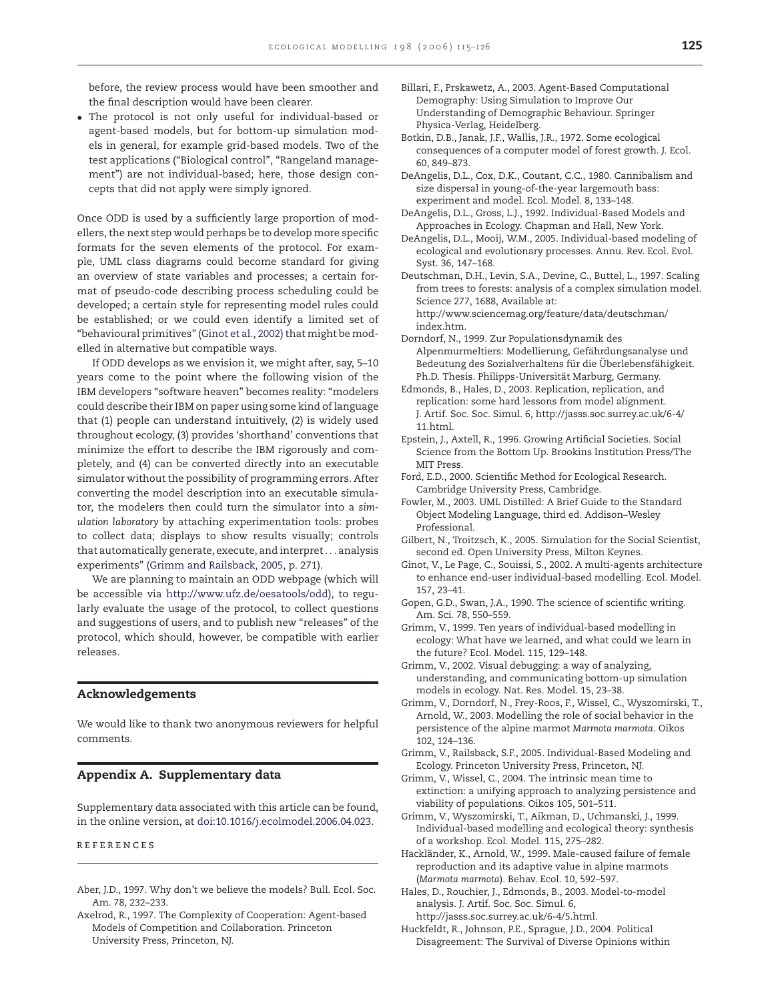before, the review process would have been smoother and the final description would have been clearer.

• The protocol is not only useful for individual-based or agent-based models, but for bottom-up simulation models in general, for example grid-based models. Two of the test applications ("Biological control", "Rangeland management") are not individual-based; here, those design concepts that did not apply were simply ignored.

Once ODD is used by a sufficiently large proportion of modellers, the next step would perhaps be to develop more specific formats for the seven elements of the protocol. For example, UML class diagrams could become standard for giving an overview of state variables and processes; a certain format of pseudo-code describing process scheduling could be developed; a certain style for representing model rules could be established; or we could even identify a limited set of "behavioural primitives" (Ginot et al., 2002) that might be modelled in alternative but compatible ways.

If ODD develops as we envision it, we might after, say, 5–10 years come to the point where the following vision of the IBM developers "software heaven" becomes reality: "modelers could describe their IBM on paper using some kind of language that (1) people can understand intuitively, (2) is widely used throughout ecology, (3) provides 'shorthand' conventions that minimize the effort to describe the IBM rigorously and completely, and (4) can be converted directly into an executable simulator without the possibility of programming errors. After converting the model description into an executable simulator, the modelers then could turn the simulator into a *simulation laboratory* by attaching experimentation tools: probes to collect data; displays to show results visually; controls that automatically generate, execute, and interpret... analysis experiments" (Grimm and Railsback, 2005, p. 271).

We are planning to maintain an ODD webpage (which will be accessible via http://www.ufz.de/oesatools/odd), to regularly evaluate the usage of the protocol, to collect questions and suggestions of users, and to publish new "releases" of the protocol, which should, however, be compatible with earlier releases.

#### **Acknowledgements**

We would like to thank two anonymous reviewers for helpful comments.

## **Appendix A. Supplementary data**

Supplementary data associated with this article can be found, in the online version, at doi:10.1016/j.ecolmodel.2006.04.023.

#### references

- Aber, J.D., 1997. Why don't we believe the models? Bull. Ecol. Soc. Am. 78, 232–233.
- Axelrod, R., 1997. The Complexity of Cooperation: Agent-based Models of Competition and Collaboration. Princeton University Press, Princeton, NJ.
- Billari, F., Prskawetz, A., 2003. Agent-Based Computational Demography: Using Simulation to Improve Our Understanding of Demographic Behaviour. Springer Physica-Verlag, Heidelberg.
- Botkin, D.B., Janak, J.F., Wallis, J.R., 1972. Some ecological consequences of a computer model of forest growth. J. Ecol. 60, 849–873.
- DeAngelis, D.L., Cox, D.K., Coutant, C.C., 1980. Cannibalism and size dispersal in young-of-the-year largemouth bass: experiment and model. Ecol. Model. 8, 133–148.
- DeAngelis, D.L., Gross, L.J., 1992. Individual-Based Models and Approaches in Ecology. Chapman and Hall, New York.
- DeAngelis, D.L., Mooij, W.M., 2005. Individual-based modeling of ecological and evolutionary processes. Annu. Rev. Ecol. Evol. Syst. 36, 147–168.
- Deutschman, D.H., Levin, S.A., Devine, C., Buttel, L., 1997. Scaling from trees to forests: analysis of a complex simulation model. Science 277, 1688, Available at: http://www.sciencemag.org/feature/data/deutschman/

index.htm.

- Dorndorf, N., 1999. Zur Populationsdynamik des Alpenmurmeltiers: Modellierung, Gefährdungsanalyse und Bedeutung des Sozialverhaltens für die Überlebensfähigkeit. Ph.D. Thesis. Philipps-Universität Marburg, Germany.
- Edmonds, B., Hales, D., 2003. Replication, replication, and replication: some hard lessons from model alignment. J. Artif. Soc. Soc. Simul. 6, http://jasss.soc.surrey.ac.uk/6-4/ 11.html.
- Epstein, J., Axtell, R., 1996. Growing Artificial Societies. Social Science from the Bottom Up. Brookins Institution Press/The MIT Press.
- Ford, E.D., 2000. Scientific Method for Ecological Research. Cambridge University Press, Cambridge.
- Fowler, M., 2003. UML Distilled: A Brief Guide to the Standard Object Modeling Language, third ed. Addison–Wesley Professional.
- Gilbert, N., Troitzsch, K., 2005. Simulation for the Social Scientist, second ed. Open University Press, Milton Keynes.
- Ginot, V., Le Page, C., Souissi, S., 2002. A multi-agents architecture to enhance end-user individual-based modelling. Ecol. Model. 157, 23–41.
- Gopen, G.D., Swan, J.A., 1990. The science of scientific writing. Am. Sci. 78, 550–559.
- Grimm, V., 1999. Ten years of individual-based modelling in ecology: What have we learned, and what could we learn in the future? Ecol. Model. 115, 129–148.
- Grimm, V., 2002. Visual debugging: a way of analyzing, understanding, and communicating bottom-up simulation models in ecology. Nat. Res. Model. 15, 23–38.
- Grimm, V., Dorndorf, N., Frey-Roos, F., Wissel, C., Wyszomirski, T., Arnold, W., 2003. Modelling the role of social behavior in the persistence of the alpine marmot *Marmota marmota*. Oikos 102, 124–136.
- Grimm, V., Railsback, S.F., 2005. Individual-Based Modeling and Ecology. Princeton University Press, Princeton, NJ.
- Grimm, V., Wissel, C., 2004. The intrinsic mean time to extinction: a unifying approach to analyzing persistence and viability of populations. Oikos 105, 501–511.
- Grimm, V., Wyszomirski, T., Aikman, D., Uchmanski, J., 1999. Individual-based modelling and ecological theory: synthesis of a workshop. Ecol. Model. 115, 275–282.
- Hackländer, K., Arnold, W., 1999. Male-caused failure of female reproduction and its adaptive value in alpine marmots (*Marmota marmota*). Behav. Ecol. 10, 592–597.
- Hales, D., Rouchier, J., Edmonds, B., 2003. Model-to-model analysis. J. Artif. Soc. Soc. Simul. 6, http://jasss.soc.surrey.ac.uk/6-4/5.html.
- Huckfeldt, R., Johnson, P.E., Sprague, J.D., 2004. Political Disagreement: The Survival of Diverse Opinions within